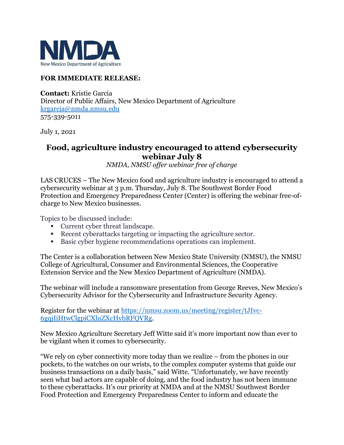

## **FOR IMMEDIATE RELEASE:**

**Contact:** Kristie Garcia Director of Public Affairs, New Mexico Department of Agriculture [krgarcia@nmda.nmsu.edu](mailto:krgarcia@nmda.nmsu.edu) 575-339-5011

July 1, 2021

## **Food, agriculture industry encouraged to attend cybersecurity webinar July 8**

*NMDA, NMSU offer webinar free of charge*

LAS CRUCES – The New Mexico food and agriculture industry is encouraged to attend a cybersecurity webinar at 3 p.m. Thursday, July 8. The Southwest Border Food Protection and Emergency Preparedness Center (Center) is offering the webinar free-ofcharge to New Mexico businesses.

Topics to be discussed include:

- Current cyber threat landscape.
- Recent cyberattacks targeting or impacting the agriculture sector.
- Basic cyber hygiene recommendations operations can implement.

The Center is a collaboration between New Mexico State University (NMSU), the NMSU College of Agricultural, Consumer and Environmental Sciences, the Cooperative Extension Service and the New Mexico Department of Agriculture (NMDA).

The webinar will include a ransomware presentation from George Reeves, New Mexico's Cybersecurity Advisor for the Cybersecurity and Infrastructure Security Agency.

Register for the webinar at [https://nmsu.zoom.us/meeting/register/tJIvc-](https://nmsu.zoom.us/meeting/register/tJIvc-6gqjIiHtwClgpiCXluZXcHybRFQVRg)[6gqjIiHtwClgpiCXluZXcHybRFQVRg.](https://nmsu.zoom.us/meeting/register/tJIvc-6gqjIiHtwClgpiCXluZXcHybRFQVRg)

New Mexico Agriculture Secretary Jeff Witte said it's more important now than ever to be vigilant when it comes to cybersecurity.

"We rely on cyber connectivity more today than we realize – from the phones in our pockets, to the watches on our wrists, to the complex computer systems that guide our business transactions on a daily basis," said Witte. "Unfortunately, we have recently seen what bad actors are capable of doing, and the food industry has not been immune to these cyberattacks. It's our priority at NMDA and at the NMSU Southwest Border Food Protection and Emergency Preparedness Center to inform and educate the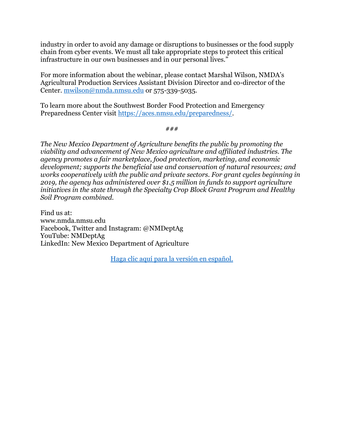industry in order to avoid any damage or disruptions to businesses or the food supply chain from cyber events. We must all take appropriate steps to protect this critical infrastructure in our own businesses and in our personal lives."

For more information about the webinar, please contact Marshal Wilson, NMDA's Agricultural Production Services Assistant Division Director and co-director of the Center. [mwilson@nmda.nmsu.edu](mailto:mwilson@nmda.nmsu.edu) or 575-339-5035.

To learn more about the Southwest Border Food Protection and Emergency Preparedness Center visit [https://aces.nmsu.edu/preparedness/.](https://aces.nmsu.edu/preparedness/)

*###*

*The New Mexico Department of Agriculture benefits the public by promoting the viability and advancement of New Mexico agriculture and affiliated industries. The agency promotes a fair marketplace, food protection, marketing, and economic development; supports the beneficial use and conservation of natural resources; and works cooperatively with the public and private sectors. For grant cycles beginning in 2019, the agency has administered over \$1.5 million in funds to support agriculture initiatives in the state through the Specialty Crop Block Grant Program and Healthy Soil Program combined.* 

Find us at: [www.nmda.nmsu.edu](http://www.nmda.nmsu.edu/) Facebook, Twitter and Instagram: @NMDeptAg YouTube: NMDeptAg LinkedIn: New Mexico Department of Agriculture

[Haga clic aquí para la versión en español.](https://www.nmda.nmsu.edu/2021/05/se-motiva-a-la-industria-alimentaria-y-agricola-a-asistir-al-seminario-virtual-sobre-ciberseguridad-el-8-de-julio/)